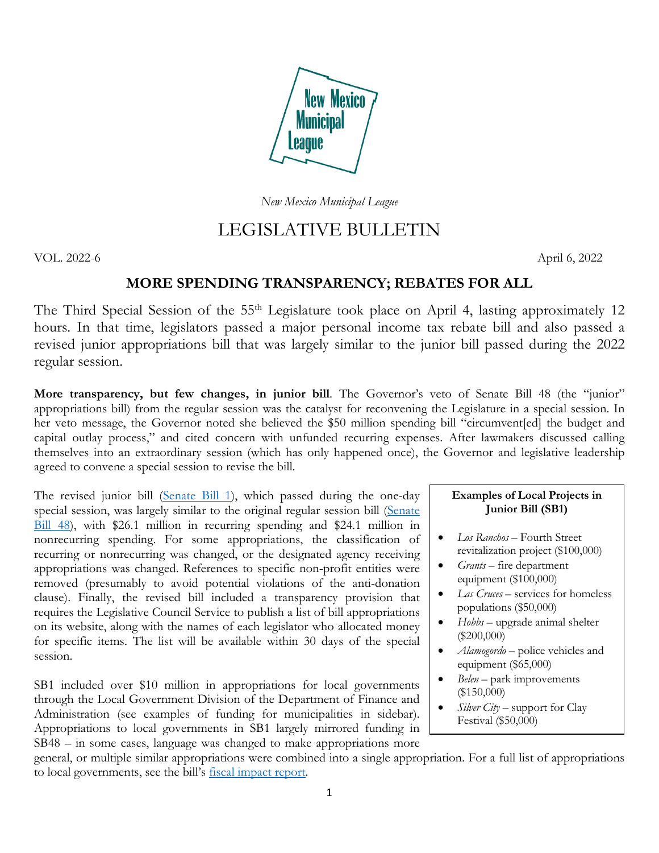

*New Mexico Municipal League*

# LEGISLATIVE BULLETIN

VOL. 2022-6 April 6, 2022

# **MORE SPENDING TRANSPARENCY; REBATES FOR ALL**

The Third Special Session of the 55<sup>th</sup> Legislature took place on April 4, lasting approximately 12 hours. In that time, legislators passed a major personal income tax rebate bill and also passed a revised junior appropriations bill that was largely similar to the junior bill passed during the 2022 regular session.

**More transparency, but few changes, in junior bill**. The Governor's veto of Senate Bill 48 (the "junior" appropriations bill) from the regular session was the catalyst for reconvening the Legislature in a special session. In her veto message, the Governor noted she believed the \$50 million spending bill "circumvent[ed] the budget and capital outlay process," and cited concern with unfunded recurring expenses. After lawmakers discussed calling themselves into an extraordinary session (which has only happened once), the Governor and legislative leadership agreed to convene a special session to revise the bill.

The revised junior bill [\(Senate Bill 1\)](https://www.nmlegis.gov/Legislation/Legislation?Chamber=S&LegType=B&LegNo=1&year=22s), which passed during the one-day special session, was largely similar to the original regular session bill [\(Senate](https://www.nmlegis.gov/Legislation/Legislation?Chamber=S&LegType=B&LegNo=48&year=22)  [Bill 48\)](https://www.nmlegis.gov/Legislation/Legislation?Chamber=S&LegType=B&LegNo=48&year=22), with \$26.1 million in recurring spending and \$24.1 million in nonrecurring spending. For some appropriations, the classification of recurring or nonrecurring was changed, or the designated agency receiving appropriations was changed. References to specific non-profit entities were removed (presumably to avoid potential violations of the anti-donation clause). Finally, the revised bill included a transparency provision that requires the Legislative Council Service to publish a list of bill appropriations on its website, along with the names of each legislator who allocated money for specific items. The list will be available within 30 days of the special session.

SB1 included over \$10 million in appropriations for local governments through the Local Government Division of the Department of Finance and Administration (see examples of funding for municipalities in sidebar). Appropriations to local governments in SB1 largely mirrored funding in SB48 – in some cases, language was changed to make appropriations more

## **Examples of Local Projects in Junior Bill (SB1)**

- *Los Ranchos* Fourth Street revitalization project (\$100,000)
- *Grants* fire department equipment (\$100,000)
- *Las Cruces* services for homeless populations (\$50,000)
- *Hobbs*  upgrade animal shelter (\$200,000)
- *Alamogordo* police vehicles and equipment (\$65,000)
- *Belen* park improvements (\$150,000)
- *Silver City*  support for Clay Festival (\$50,000)

general, or multiple similar appropriations were combined into a single appropriation. For a full list of appropriations to local governments, see the bill's [fiscal impact report.](https://www.nmlegis.gov/Sessions/22%20Special/firs/SB0001.PDF)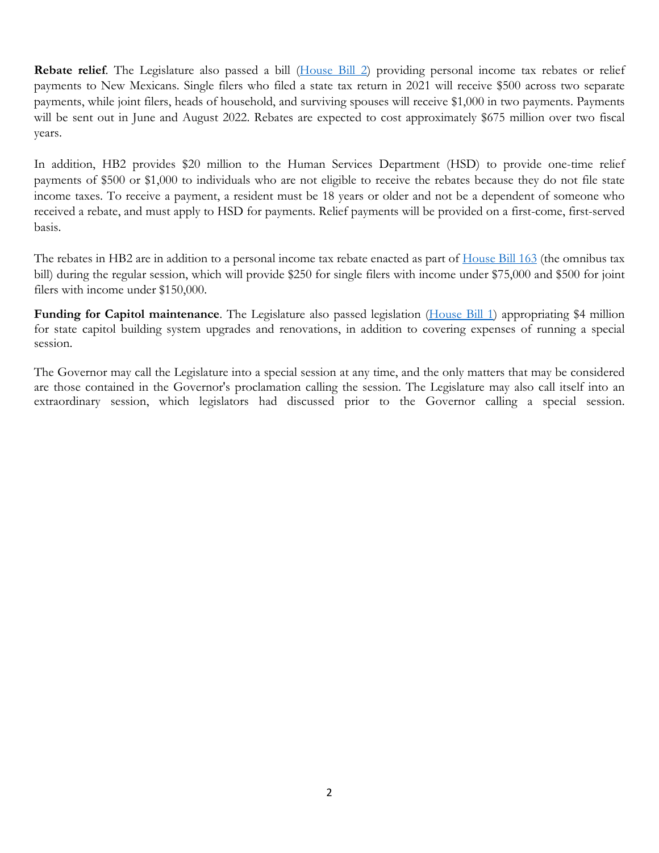**Rebate relief**. The Legislature also passed a bill [\(House Bill 2\)](https://www.nmlegis.gov/Legislation/Legislation?Chamber=H&LegType=B&LegNo=2&year=22s) providing personal income tax rebates or relief payments to New Mexicans. Single filers who filed a state tax return in 2021 will receive \$500 across two separate payments, while joint filers, heads of household, and surviving spouses will receive \$1,000 in two payments. Payments will be sent out in June and August 2022. Rebates are expected to cost approximately \$675 million over two fiscal years.

In addition, HB2 provides \$20 million to the Human Services Department (HSD) to provide one-time relief payments of \$500 or \$1,000 to individuals who are not eligible to receive the rebates because they do not file state income taxes. To receive a payment, a resident must be 18 years or older and not be a dependent of someone who received a rebate, and must apply to HSD for payments. Relief payments will be provided on a first-come, first-served basis.

The rebates in HB2 are in addition to a personal income tax rebate enacted as part of [House Bill 163](https://www.nmlegis.gov/Legislation/Legislation?Chamber=H&LegType=B&LegNo=163&year=22) (the omnibus tax bill) during the regular session, which will provide \$250 for single filers with income under \$75,000 and \$500 for joint filers with income under \$150,000.

**Funding for Capitol maintenance**. The Legislature also passed legislation [\(House Bill 1\)](https://www.nmlegis.gov/Legislation/Legislation?Chamber=H&LegType=B&LegNo=1&year=22s) appropriating \$4 million for state capitol building system upgrades and renovations, in addition to covering expenses of running a special session.

The Governor may call the Legislature into a special session at any time, and the only matters that may be considered are those contained in the Governor's proclamation calling the session. The Legislature may also call itself into an extraordinary session, which legislators had discussed prior to the Governor calling a special session.